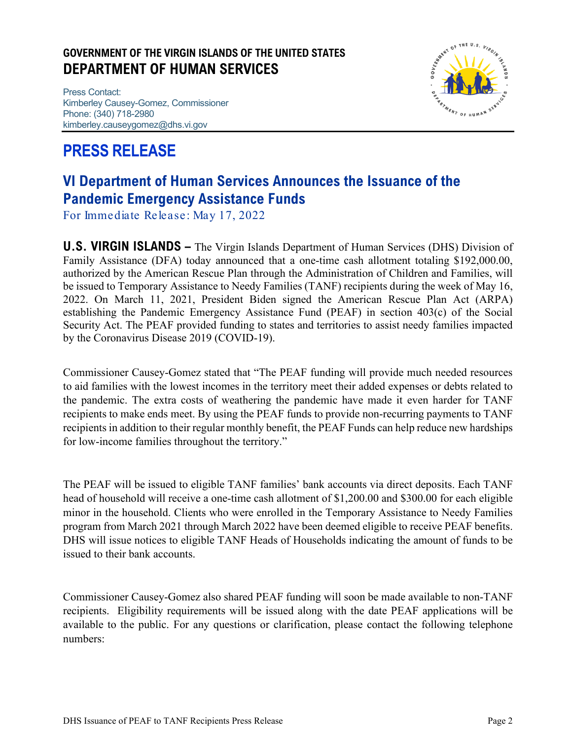### **GOVERNMENT OF THE VIRGIN ISLANDS OF THE UNITED STATES DEPARTMENT OF HUMAN SERVICES**

Press Contact: Kimberley Causey-Gomez, Commissioner Phone: (340) 718-2980 kimberley.causeygomez@dhs.vi.gov

# **PRESS RELEASE**



## **VI Department of Human Services Announces the Issuance of the Pandemic Emergency Assistance Funds**

For Immediate Release: May 17, 2022

**U.S. VIRGIN ISLANDS –** The Virgin Islands Department of Human Services (DHS) Division of Family Assistance (DFA) today announced that a one-time cash allotment totaling \$192,000.00, authorized by the American Rescue Plan through the Administration of Children and Families, will be issued to Temporary Assistance to Needy Families (TANF) recipients during the week of May 16, 2022. On March 11, 2021, President Biden signed the American Rescue Plan Act (ARPA) establishing the Pandemic Emergency Assistance Fund (PEAF) in section 403(c) of the Social Security Act. The PEAF provided funding to states and territories to assist needy families impacted by the Coronavirus Disease 2019 (COVID-19).

Commissioner Causey-Gomez stated that "The PEAF funding will provide much needed resources to aid families with the lowest incomes in the territory meet their added expenses or debts related to the pandemic. The extra costs of weathering the pandemic have made it even harder for TANF recipients to make ends meet. By using the PEAF funds to provide non-recurring payments to TANF recipients in addition to their regular monthly benefit, the PEAF Funds can help reduce new hardships for low-income families throughout the territory."

The PEAF will be issued to eligible TANF families' bank accounts via direct deposits. Each TANF head of household will receive a one-time cash allotment of \$1,200.00 and \$300.00 for each eligible minor in the household. Clients who were enrolled in the Temporary Assistance to Needy Families program from March 2021 through March 2022 have been deemed eligible to receive PEAF benefits. DHS will issue notices to eligible TANF Heads of Households indicating the amount of funds to be issued to their bank accounts.

Commissioner Causey-Gomez also shared PEAF funding will soon be made available to non-TANF recipients. Eligibility requirements will be issued along with the date PEAF applications will be available to the public. For any questions or clarification, please contact the following telephone numbers: